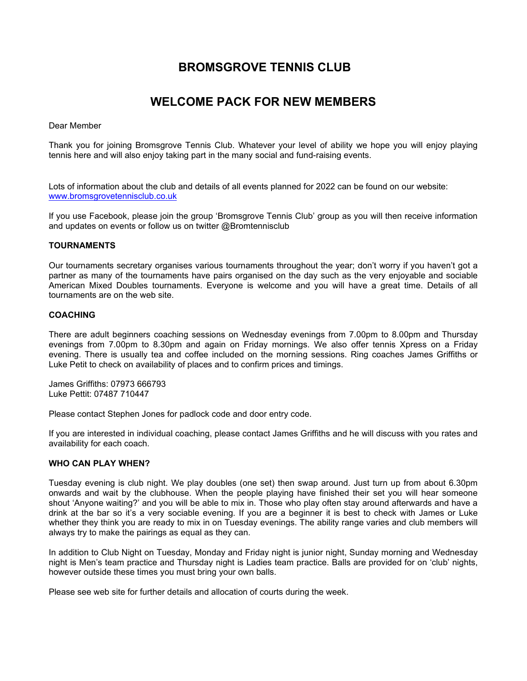# **BROMSGROVE TENNIS CLUB**

## **WELCOME PACK FOR NEW MEMBERS**

#### Dear Member

Thank you for joining Bromsgrove Tennis Club. Whatever your level of ability we hope you will enjoy playing tennis here and will also enjoy taking part in the many social and fund-raising events.

Lots of information about the club and details of all events planned for 2022 can be found on our website: [www.bromsgrovetennisclub.co.uk](http://www.bromsgrovetennisclub.co.uk/)

If you use Facebook, please join the group 'Bromsgrove Tennis Club' group as you will then receive information and updates on events or follow us on twitter @Bromtennisclub

## **TOURNAMENTS**

Our tournaments secretary organises various tournaments throughout the year; don't worry if you haven't got a partner as many of the tournaments have pairs organised on the day such as the very enjoyable and sociable American Mixed Doubles tournaments. Everyone is welcome and you will have a great time. Details of all tournaments are on the web site.

#### **COACHING**

There are adult beginners coaching sessions on Wednesday evenings from 7.00pm to 8.00pm and Thursday evenings from 7.00pm to 8.30pm and again on Friday mornings. We also offer tennis Xpress on a Friday evening. There is usually tea and coffee included on the morning sessions. Ring coaches James Griffiths or Luke Petit to check on availability of places and to confirm prices and timings.

James Griffiths: 07973 666793 Luke Pettit: 07487 710447

Please contact Stephen Jones for padlock code and door entry code.

If you are interested in individual coaching, please contact James Griffiths and he will discuss with you rates and availability for each coach.

#### **WHO CAN PLAY WHEN?**

Tuesday evening is club night. We play doubles (one set) then swap around. Just turn up from about 6.30pm onwards and wait by the clubhouse. When the people playing have finished their set you will hear someone shout 'Anyone waiting?' and you will be able to mix in. Those who play often stay around afterwards and have a drink at the bar so it's a very sociable evening. If you are a beginner it is best to check with James or Luke whether they think you are ready to mix in on Tuesday evenings. The ability range varies and club members will always try to make the pairings as equal as they can.

In addition to Club Night on Tuesday, Monday and Friday night is junior night, Sunday morning and Wednesday night is Men's team practice and Thursday night is Ladies team practice. Balls are provided for on 'club' nights, however outside these times you must bring your own balls.

Please see web site for further details and allocation of courts during the week.